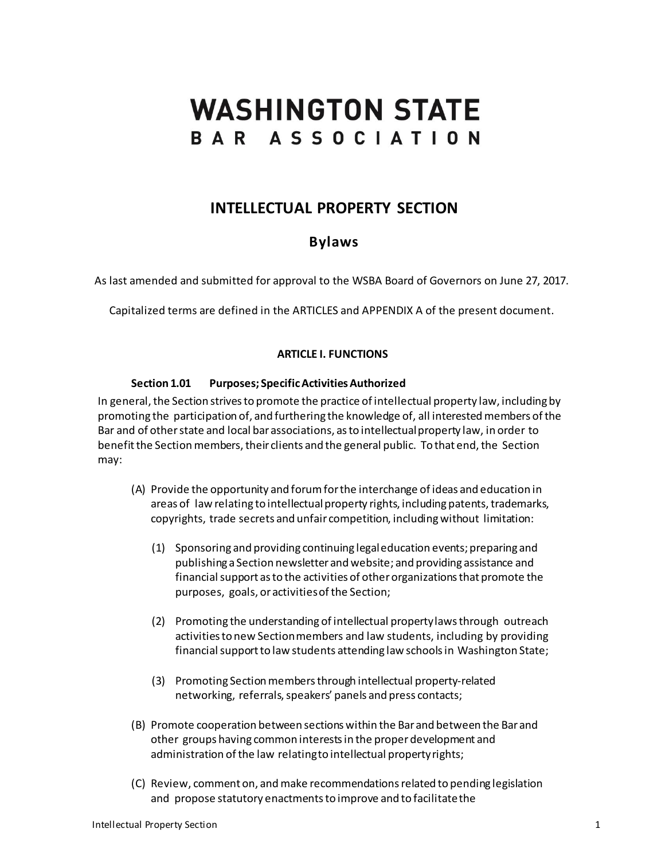# **WASHINGTON STATE** BAR ASSOCIATION

# **INTELLECTUAL PROPERTY SECTION**

# **Bylaws**

As last amended and submitted for approval to the WSBA Board of Governors on June 27, 2017.

Capitalized terms are defined in the ARTICLES and APPENDIX A of the present document.

# **ARTICLE I. FUNCTIONS**

# **Section 1.01 Purposes; SpecificActivitiesAuthorized**

In general, the Section strives to promote the practice of intellectual property law, including by promoting the participation of, and furthering the knowledge of, all interested members of the Bar and of other state and local bar associations, as to intellectual property law, in order to benefit the Section members, their clients and the general public. To that end, the Section may:

- (A) Provide the opportunity and forumfor the interchange of ideas and education in areas of law relating to intellectual property rights, including patents, trademarks, copyrights, trade secrets and unfair competition, including without limitation:
	- (1) Sponsoring and providing continuing legaleducation events; preparing and publishing a Section newsletter and website; and providing assistance and financial support as to the activities of other organizations that promote the purposes, goals, oractivitiesofthe Section;
	- (2) Promoting the understanding of intellectual propertylawsthrough outreach activities to new Section members and law students, including by providing financial support to law students attending law schools in Washington State;
	- (3) Promoting Section members through intellectual property-related networking, referrals, speakers' panels and press contacts;
- (B) Promote cooperation between sections within the Bar and between the Bar and other groups having common interestsin the properdevelopment and administration of the law relatingto intellectual propertyrights;
- (C) Review, comment on, andmake recommendationsrelated to pending legislation and propose statutory enactments to improve and to facilitate the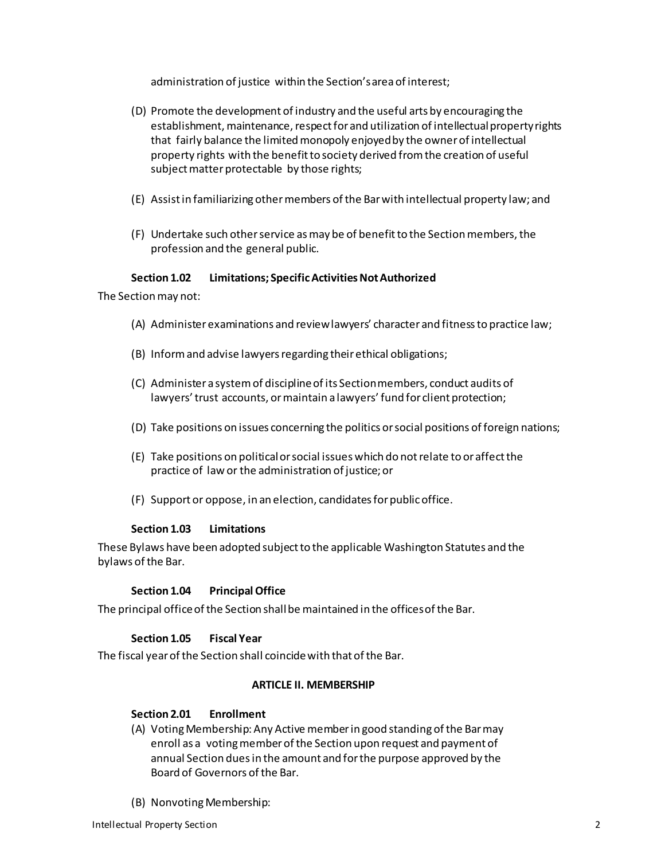administration of justice within the Section'sareaof interest;

- (D) Promote the development of industry and the useful arts by encouraging the establishment, maintenance, respect for and utilization of intellectual property rights that fairly balance the limited monopoly enjoyed by the owner of intellectual property rights with the benefit to society derived from the creation of useful subject matter protectable by those rights;
- (E) Assistin familiarizing othermembers ofthe Barwith intellectual property law; and
- (F) Undertake such other service as may be of benefit to the Section members, the profession and the general public.

# **Section 1.02** Limitations; Specific Activities Not Authorized

The Section may not:

- (A) Administer examinations and reviewlawyers' character and fitnessto practice law;
- (B) Inform and advise lawyers regarding their ethical obligations;
- (C) Administer a systemof disciplineof its Section members, conduct audits of lawyers' trust accounts, or maintain a lawyers' fund for client protection;
- (D) Take positions on issues concerning the politics orsocial positions of foreign nations;
- (E) Take positions on politicalor social issues which do notrelate to oraffectthe practice of law or the administration of justice; or
- (F) Support or oppose, in an election, candidatesforpublicoffice.

# **Section 1.03 Limitations**

These Bylaws have been adopted subjectto the applicable Washington Statutes and the bylaws of the Bar.

# **Section 1.04 PrincipalOffice**

The principal office of the Section shall be maintained in the offices of the Bar.

# **Section 1.05 Fiscal Year**

The fiscal year of the Section shall coincide with that of the Bar.

# **ARTICLE II. MEMBERSHIP**

# **Section 2.01 Enrollment**

- (A) Voting Membership: Any Active member in good standing of the Barmay enroll as a voting member of the Section upon request and payment of annual Section duesin the amount and forthe purpose approved by the Board of Governors ofthe Bar.
- (B) NonvotingMembership: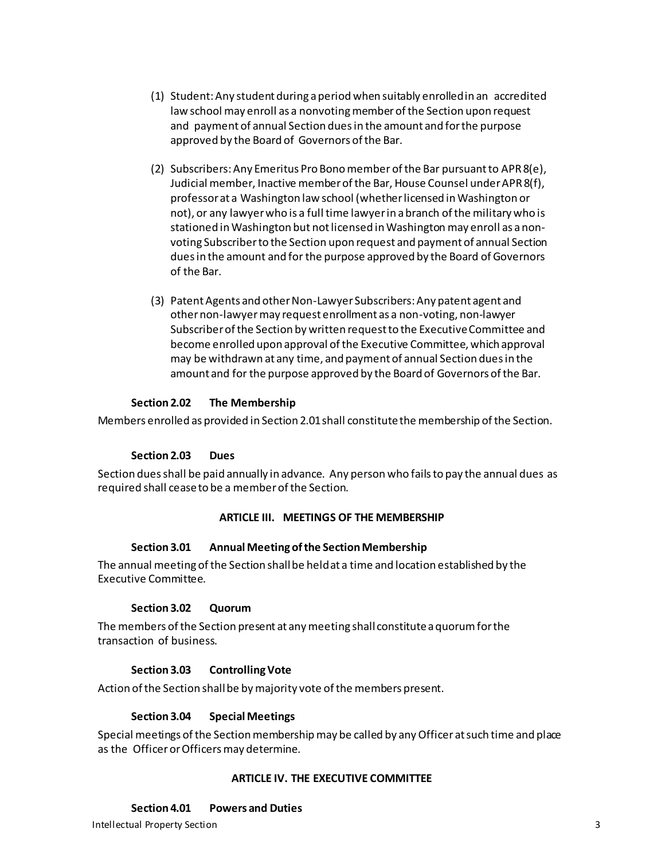- (1) Student:Any student during a period when suitably enrolledin an accredited law school may enroll as a nonvoting member of the Section upon request and payment of annual Section duesin the amount and forthe purpose approved by the Board of Governors ofthe Bar.
- (2) Subscribers: Any Emeritus Pro Bono member of the Bar pursuant to APR 8(e), Judicial member, Inactive member of the Bar, House Counsel under APR 8(f), professor at a Washington law school (whether licensed in Washington or not), or any lawyer who is a full time lawyer in a branch of the military who is stationed in Washington but not licensed in Washington may enroll as a nonvoting Subscriber to the Section upon request and payment of annual Section dues in the amount and for the purpose approved by the Board of Governors of the Bar.
- (3) Patent Agents and other Non-Lawyer Subscribers: Any patent agent and other non-lawyermay request enrollment as a non-voting, non-lawyer Subscriber of the Section by written request to the Executive Committee and become enrolled upon approval of the Executive Committee, which approval may be withdrawn at any time, and payment of annual Section dues in the amount and for the purpose approved by the Board of Governors of the Bar.

# **Section 2.02 The Membership**

Members enrolled as provided in Section 2.01shall constitutethe membership of the Section.

# **Section 2.03 Dues**

Section duesshall be paid annually in advance. Any person who failsto pay the annual dues as required shall ceaseto be a memberof the Section.

# **ARTICLE III. MEETINGS OF THE MEMBERSHIP**

# **Section 3.01** Annual Meeting of the Section Membership

The annual meeting of the Section shallbe heldat a time and location established by the Executive Committee.

# **Section 3.02 Quorum**

The members of the Section present at any meeting shall constitute a quorum for the transaction of business.

# **Section 3.03 ControllingVote**

Action of the Section shall be by majority vote of the members present.

# **Section 3.04 Special Meetings**

Special meetings of the Section membership may be called by any Officer at such time and place as the Officeror Officers may determine.

# **ARTICLE IV. THE EXECUTIVE COMMITTEE**

# **Section 4.01 Powers and Duties**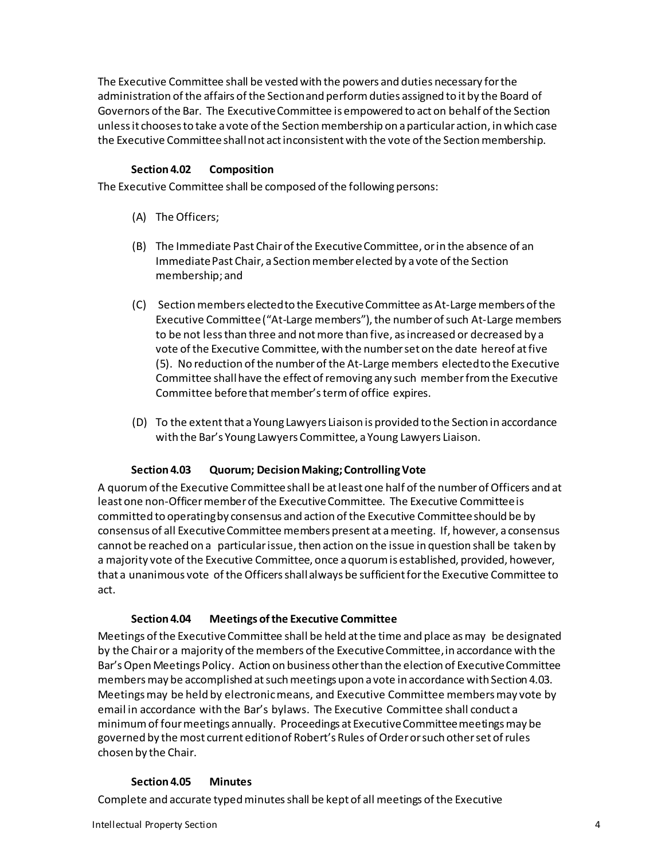The Executive Committee shall be vested with the powers and duties necessary forthe administration ofthe affairs of the Sectionand performduties assigned to it by the Board of Governors ofthe Bar. The Executive Committee is empowered to act on behalf of the Section unless it chooses to take a vote of the Section membership on a particular action, in which case the Executive Committee shall not act inconsistent with the vote of the Section membership.

# **Section 4.02 Composition**

The Executive Committee shall be composed of the following persons:

- (A) The Officers;
- (B) The Immediate Past Chairof the ExecutiveCommittee, orin the absence of an Immediate Past Chair, a Section member elected by a vote of the Section membership; and
- (C) Section members electedto the ExecutiveCommittee as At-Large members of the Executive Committee ("At-Large members"), the number of such At-Large members to be not lessthan three and notmore than five, asincreased or decreased by a vote ofthe Executive Committee, with the numberset on the date hereof atfive (5). No reduction ofthe numberof the At-Large members electedto the Executive Committee shallhave the effect ofremoving any such memberfromthe Executive Committee before that member's term of office expires.
- (D) To the extent that a Young Lawyers Liaison is provided to the Section in accordance with the Bar's Young Lawyers Committee, a Young Lawyers Liaison.

# **Section 4.03 Quorum; DecisionMaking;ControllingVote**

A quorumof the Executive Committeeshall be atleast one half of the numberofOfficers and at least one non-Officermemberofthe ExecutiveCommittee. The Executive Committeeis committed to operating by consensus and action of the Executive Committee should be by consensus of all Executive Committee members present at a meeting. If, however, a consensus cannot be reached on a particular issue, then action on the issue in question shall be taken by a majority vote ofthe Executive Committee, once a quorum is established, provided, however, that a unanimous vote of the Officersshallalways be sufficient forthe Executive Committee to act.

#### **Section 4.04 Meetings of the Executive Committee**

Meetings ofthe ExecutiveCommittee shall be held at the time and place asmay be designated by the Chair or a majority of the members ofthe ExecutiveCommittee, in accordance with the Bar's Open Meetings Policy. Action on business other than the election of Executive Committee members may be accomplished at such meetings upon a vote in accordance with Section 4.03. Meetings may be held by electronic means, and Executive Committee members may vote by email in accordance with the Bar's bylaws. The Executive Committee shall conduct a minimum of fourmeetings annually. Proceedings at Executive Committee meetings may be governed by the most current edition of Robert's Rules ofOrder or such other set of rules chosen by the Chair.

#### **Section 4.05 Minutes**

Complete and accurate typed minutes shall be kept of all meetings of the Executive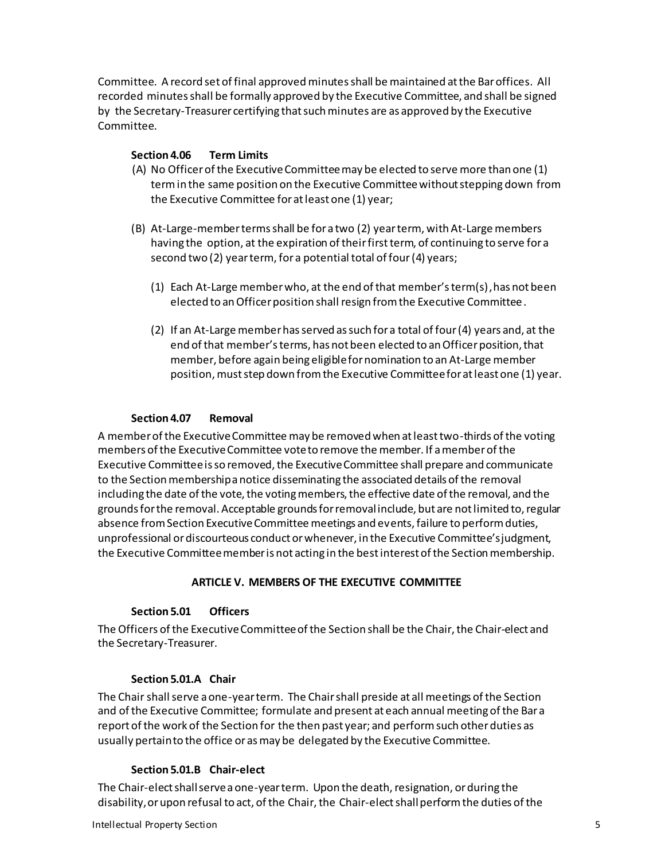Committee. A record set of final approved minutes shall be maintained at the Bar offices. All recorded minutes shall be formally approved by the Executive Committee, and shall be signed by the Secretary-Treasurer certifying that such minutes are as approved by the Executive Committee.

## **Section 4.06 Term Limits**

- (A) No Officerofthe Executive Committeemay be elected to serve more than one (1) termin the same position on the Executive Committeewithout stepping down from the Executive Committee for atleast one (1) year;
- (B) At-Large-member termsshall be for a two (2) yearterm, withAt-Large members having the option, at the expiration of their first term, of continuing to serve for a second two (2) yearterm, for a potential total of four(4) years;
	- (1) Each At-Large member who, at the end of that member's term(s),has not been elected to an Officer position shall resign from the Executive Committee.
	- (2) If an At-Large member has served as such for a total of four (4) years and, at the end of that member's terms, has not been elected to an Officer position, that member, before again being eligible for nomination to an At-Large member position, must step down from the Executive Committee for at least one (1) year.

# **Section 4.07 Removal**

A member of the Executive Committee may be removed when at least two-thirds of the voting members of the Executive Committee vote to remove the member. If a member of the Executive Committee is so removed, the Executive Committee shall prepare and communicate to the Section membership a notice disseminating the associated details of the removal including the date of the vote, the voting members, the effective date of the removal, and the grounds for the removal. Acceptable grounds for removal include, but are not limited to, regular absence from Section Executive Committee meetings and events, failure to perform duties, unprofessional or discourteous conduct or whenever, in the Executive Committee's judgment, the Executive Committee member is not acting in the best interest of the Section membership.

# **ARTICLE V. MEMBERS OF THE EXECUTIVE COMMITTEE**

#### **Section 5.01 Officers**

The Officers of the Executive Committee of the Section shall be the Chair, the Chair-elect and the Secretary-Treasurer.

#### **Section 5.01.A Chair**

The Chair shall serve a one-year term. The Chairshall preside at all meetings ofthe Section and ofthe Executive Committee; formulate and present at each annual meeting of the Bara report ofthe work of the Section for the then past year; and performsuch otherduties as usually pertainto the office oras may be delegated by the Executive Committee.

#### **Section 5.01.B Chair-elect**

The Chair-elect shall serve a one-year term. Upon the death, resignation, or during the disability, or upon refusal to act, of the Chair, the Chair-elect shall perform the duties of the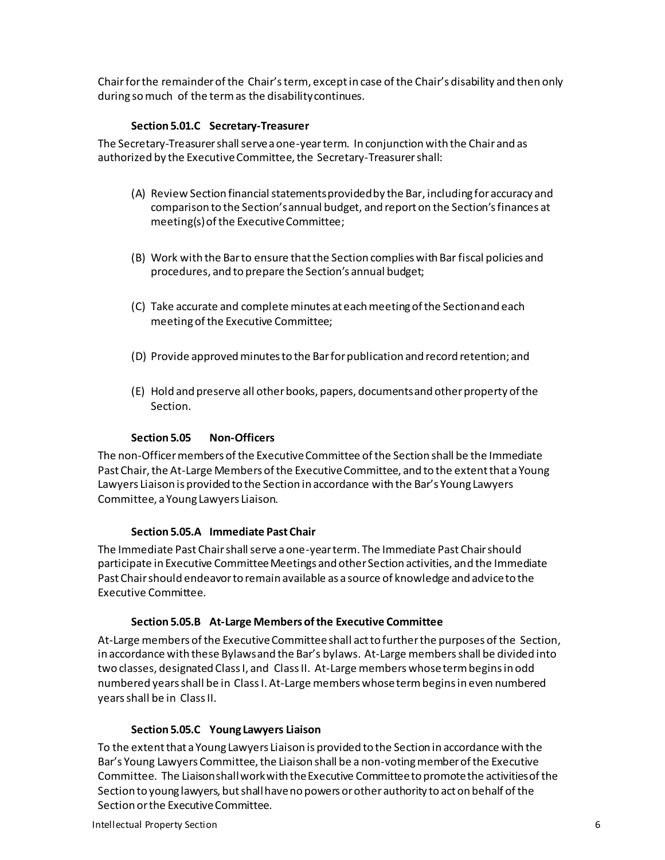Chairforthe remainderofthe Chair'sterm, exceptin case ofthe Chair's disability and then only during so much of the termas the disabilitycontinues.

# **Section 5.01.C Secretary-Treasurer**

The Secretary-Treasurer shall serve a one-year term. In conjunction with the Chair and as authorized by the Executive Committee, the Secretary-Treasurershall:

- (A) Review Section financial statements provided by the Bar, including for accuracy and comparison to the Section's annual budget, and report on the Section's finances at meeting(s) of the Executive Committee;
- (B) Work with the Bar to ensure that the Section complies with Bar fiscal policies and procedures, and to prepare the Section's annual budget;
- (C) Take accurate and complete minutes at each meeting of the Section and each meeting of the Executive Committee;
- (D) Provide approved minutes to the Bar for publication and record retention; and
- (E) Hold and preserve all other books, papers, documents and other property of the Section.

# **Section 5.05 Non-Officers**

The non-Officer members of the Executive Committee of the Section shall be the Immediate Past Chair, the At-Large Members of the Executive Committee, and to the extent that a Young Lawyers Liaison is provided to the Section in accordance with the Bar's Young Lawyers Committee, a Young Lawyers Liaison.

# **Section 5.05.A Immediate Past Chair**

The Immediate Past Chair shall serve a one-year term. The Immediate Past Chair should participate in Executive Committee Meetings and other Section activities, and the Immediate Past Chair should endeavor to remain available as a source of knowledge and advice to the Executive Committee.

#### **Section 5.05.B At-Large Members ofthe Executive Committee**

At-Large members ofthe Executive Committeeshall actto furtherthe purposes of the Section, in accordance with these Bylaws and the Bar's bylaws. At-Large membersshall be divided into two classes, designated ClassI, and ClassII. At-Large members whoseterm begins in odd numbered yearsshall be in ClassI. At-Large members whose termbegins in even numbered yearsshall be in ClassII.

#### **Section 5.05.C Young Lawyers Liaison**

To the extent that a Young Lawyers Liaison is provided to the Section in accordance with the Bar's Young Lawyers Committee, the Liaison shall be a non-voting member of the Executive Committee. The Liaison shall work with the Executive Committee to promote the activities of the Section to young lawyers, but shall have no powers or other authority to act on behalf of the Section or the Executive Committee.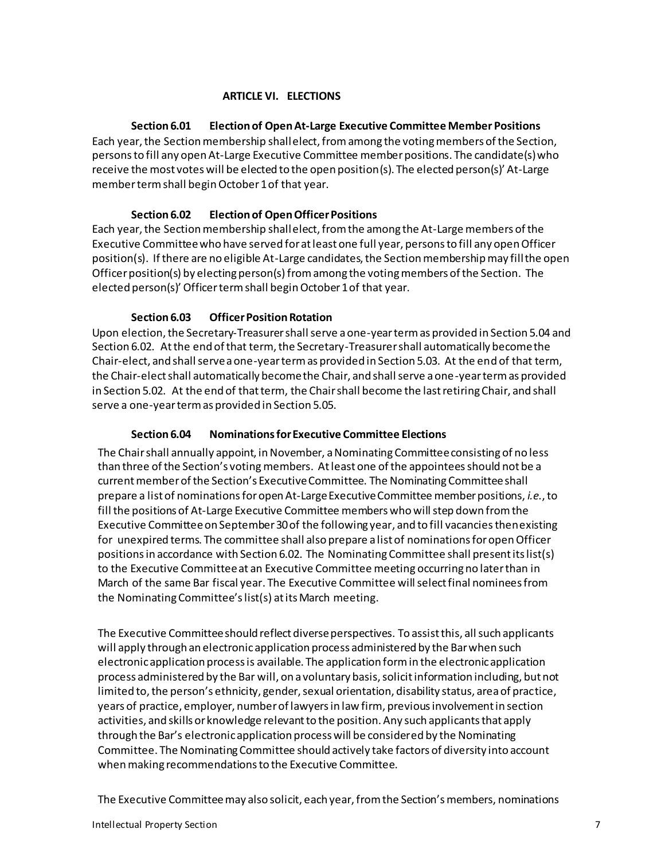# **ARTICLE VI. ELECTIONS**

**Section 6.01 Election of OpenAt-Large Executive Committee Member Positions** Each year, the Section membership shall elect, fromamong the voting members of the Section, persons to fill any open At-Large Executive Committee member positions. The candidate(s) who receive the most votes will be elected to the open position(s). The elected person(s)' At-Large memberterm shall begin October 1 of that year.

# **Section 6.02 Election of Open Officer Positions**

Each year, the Section membership shall elect, from the among the At-Large members of the Executive Committee who have served for at least one full year, persons to fill any open Officer position(s). If there are no eligible At-Large candidates, the Section membership may fill the open Officer position(s) by electing person(s) from among the voting members of the Section. The elected person(s)' Officer term shall begin October 1 of that year.

# **Section 6.03 Officer Position Rotation**

Upon election, the Secretary-Treasurer shall serve a one-year term as provided in Section 5.04 and Section 6.02. At the end of that term, the Secretary-Treasurer shall automatically become the Chair-elect, and shall serve a one-year term as provided in Section 5.03. At the end of that term, the Chair-elect shall automatically become the Chair, and shall serve a one-year term as provided in Section 5.02. At the end of that term, the Chair shall become the last retiring Chair, and shall serve a one-year term as provided in Section 5.05.

# **Section 6.04 Nominationsfor Executive Committee Elections**

The Chairshall annually appoint, in November, a Nominating Committeeconsisting of no less than three of the Section's voting members. At least one of the appointees should not be a current member of the Section's Executive Committee. The Nominating Committeeshall prepare a list of nominations for open At-Large Executive Committee member positions, *i.e.*, to fill the positions of At-Large Executive Committee members who will step down from the Executive Committeeon September 30 of the following year, and to fill vacanciesthenexisting for unexpired terms. The committee shall also prepare a list of nominations for open Officer positions in accordance with Section 6.02. The Nominating Committee shall present its list(s) to the Executive Committee at an Executive Committee meeting occurring no later than in March of the same Bar fiscal year. The Executive Committee will select final nominees from the Nominating Committee's list(s) at its March meeting.

The Executive Committee should reflect diverse perspectives. To assist this, all such applicants will apply through an electronic application process administered by the Bar when such electronic application process is available. The application form in the electronic application process administered by the Bar will, on a voluntary basis, solicit information including, but not limited to, the person's ethnicity, gender, sexual orientation, disability status, area of practice, years of practice, employer, number of lawyers in law firm, previous involvement in section activities, and skills or knowledge relevant to the position. Any such applicants that apply through the Bar's electronic application process will be considered by the Nominating Committee. The Nominating Committee should actively take factors of diversity into account when making recommendations to the Executive Committee.

The Executive Committeemay also solicit, each year, from the Section's members, nominations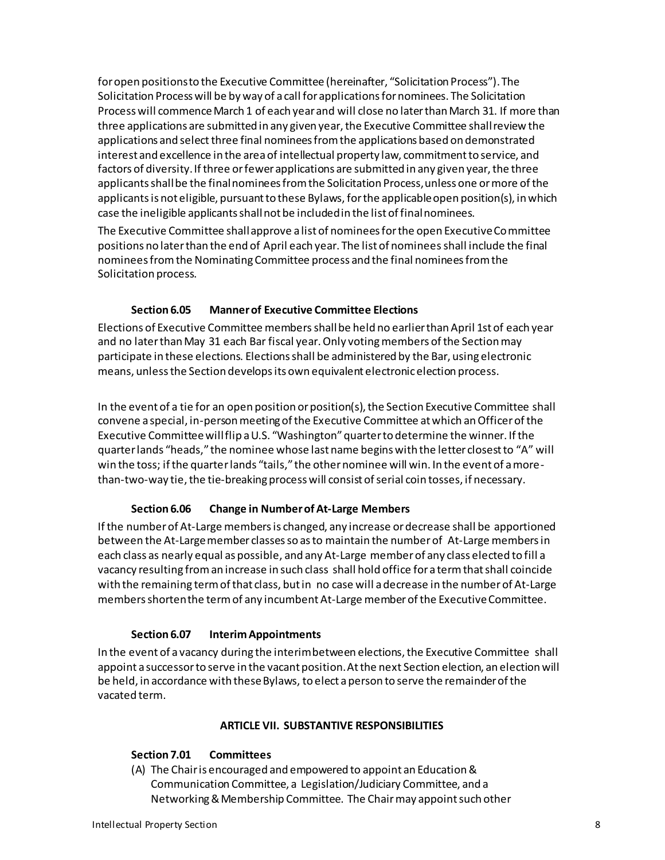for open positions to the Executive Committee (hereinafter, "Solicitation Process").The Solicitation Process will be by way of a call for applications for nominees. The Solicitation Process will commence March 1 of each year and will close no later than March 31. If more than three applications are submitted in any given year, the Executive Committee shall review the applications and select three final nominees from the applications based on demonstrated interest and excellence in the area of intellectual property law, commitment to service, and factors of diversity.If three or fewer applications are submitted in any given year, the three applicants shall be the final nominees from the Solicitation Process, unless one or more of the applicants is not eligible, pursuant to these Bylaws, for the applicable open position(s), in which case the ineligible applicants shall not be included in the list of final nominees.

The Executive Committee shall approve a list of nominees for the open Executive Committee positions no later than the end of April each year. The list of nominees shall include the final nominees from the Nominating Committee process and the final nominees from the Solicitation process.

# **Section 6.05 Manner of Executive Committee Elections**

Elections of Executive Committee membersshall be held no earlier than April 1st of each year and no later than May 31 each Bar fiscal year. Only voting members of the Section may participate in these elections. Elections shall be administered by the Bar, using electronic means, unless the Section develops its own equivalent electronic election process.

In the event of a tie for an open position or position(s), the Section Executive Committee shall convene a special, in-person meeting of the Executive Committee at which an Officer of the Executive Committeewill flip a U.S. "Washington" quarter to determine the winner. If the quarter lands "heads," the nominee whose last name begins with the letter closest to "A" will win the toss; if the quarter lands "tails," the other nominee will win. In the event of a morethan-two-way tie, the tie-breaking process will consist of serial coin tosses, if necessary.

# **Section 6.06 Change in NumberofAt-Large Members**

Ifthe numberof At-Large membersis changed, any increase or decrease shall be apportioned between the At-Largemember classesso as to maintain the numberof At-Large membersin each class as nearly equal as possible, and any At-Large memberof any class elected to fill a vacancy resulting froman increase in such class shall hold office for a term thatshall coincide with the remaining termof that class, but in no case will adecrease in the numberof At-Large members shortenthe term of any incumbent At-Large member of the Executive Committee.

#### **Section 6.07 InterimAppointments**

In the event of a vacancy during the interimbetween elections, the Executive Committee shall appoint a successorto serve in the vacant position. At the next Section election, an election will be held, in accordance with these Bylaws, to elect a person to serve the remainder of the vacated term.

#### **ARTICLE VII. SUBSTANTIVE RESPONSIBILITIES**

#### **Section 7.01 Committees**

(A) The Chair is encouraged and empowered to appoint an Education& Communication Committee, a Legislation/Judiciary Committee, and a Networking & Membership Committee. The Chair may appoint such other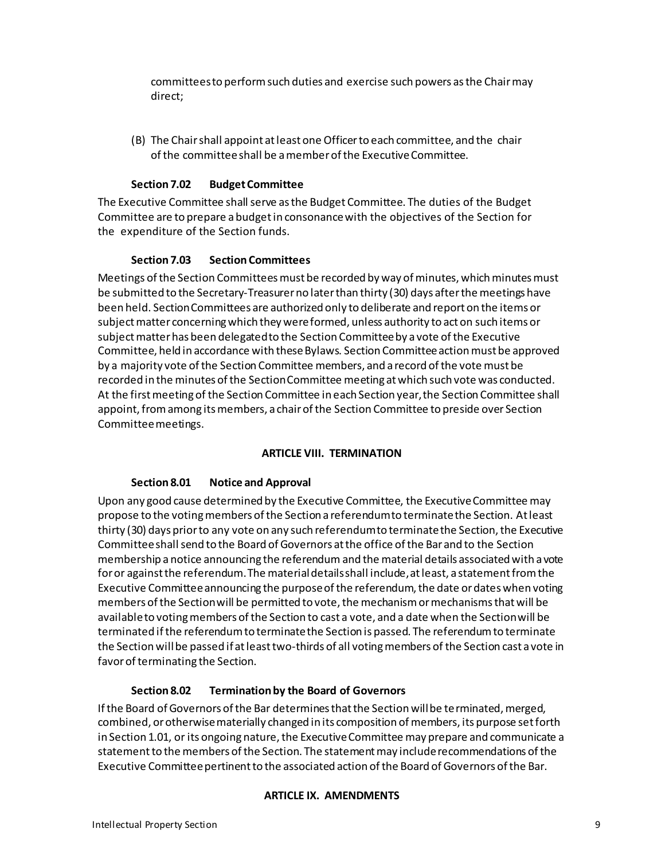committeesto performsuch duties and exercise such powers asthe Chair may direct;

(B) The Chair shall appoint atleast one Officerto each committee, and the chair ofthe committeeshall be a memberofthe ExecutiveCommittee.

## **Section 7.02** Budget Committee

The Executive Committee shall serve as the Budget Committee. The duties of the Budget Committee are to prepare abudgetin consonancewith the objectives of the Section for the expenditure of the Section funds.

#### **Section 7.03 Section Committees**

Meetings of the Section Committees must be recorded by way of minutes, which minutes must be submitted to the Secretary-Treasurer no later than thirty (30) days after the meetings have been held. Section Committees are authorized only to deliberate and report on the items or subject matter concerning which they were formed, unless authority to act on such items or subject matter has been delegated to the Section Committee by a vote of the Executive Committee, held in accordance with these Bylaws. Section Committee action must be approved by a majority vote of the Section Committee members, and a record of the vote must be recorded in the minutes of the Section Committee meeting at which such vote was conducted. At the first meeting of the Section Committee in each Section year, the Section Committee shall appoint, from among its members, a chair of the Section Committee to preside over Section Committee meetings.

#### **ARTICLE VIII. TERMINATION**

# **Section 8.01 Notice and Approval**

Upon any good cause determined by the Executive Committee, the Executive Committee may propose to the voting members of the Section a referendum to terminate the Section. At least thirty (30) days prior to any vote on any such referendum to terminate the Section, the Executive Committee shall send to the Board of Governors at the office of the Bar and to the Section membership a notice announcing the referendum and the material details associated with a vote for or against the referendum. The material details shall include, at least, a statement from the Executive Committee announcing the purpose of the referendum, the date or dates when voting members of the Section will be permitted to vote, the mechanism or mechanisms that will be available to voting members of the Section to cast a vote, and a date when the Section will be terminated if the referendum to terminate the Section is passed. The referendum to terminate the Section will be passed if at least two-thirds of all voting members of the Section cast a vote in favor of terminating the Section.

# **Section 8.02 Termination by the Board of Governors**

If the Board of Governors of the Bar determines that the Section will be terminated, merged, combined, or otherwise materially changed in its composition of members, its purpose set forth in Section 1.01, or its ongoing nature, the Executive Committee may prepare and communicate a statement to the members of the Section. The statement may include recommendations of the Executive Committee pertinent to the associated action of the Board of Governors of the Bar.

# **ARTICLE IX. AMENDMENTS**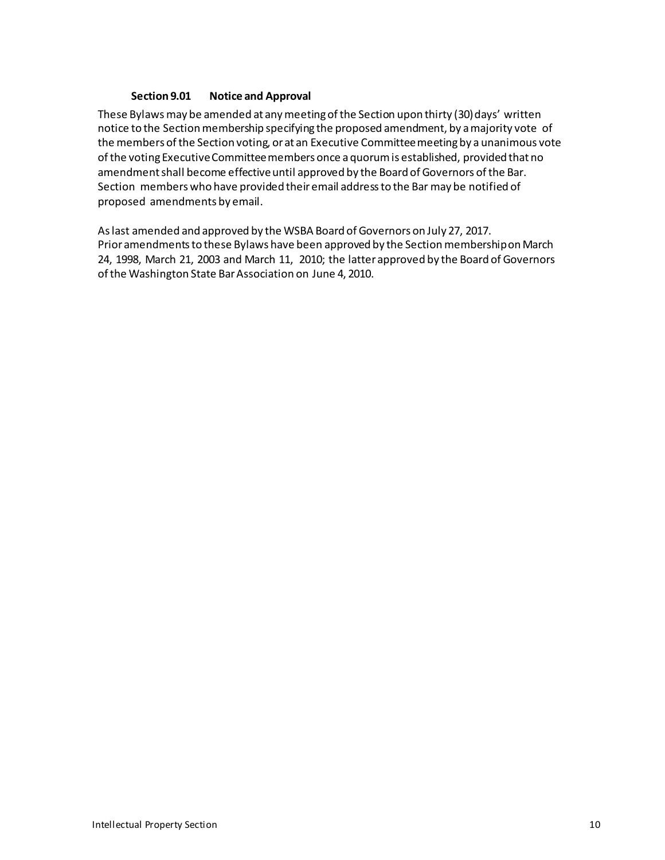# **Section 9.01 Notice and Approval**

These Bylawsmay be amended at any meeting of the Section upon thirty (30) days' written notice to the Section membership specifying the proposed amendment, by amajority vote of the members of the Section voting, or at an Executive Committee meeting by a unanimous vote of the voting Executive Committee members once a quorum is established, provided that no amendment shall become effective until approved by the Board of Governors ofthe Bar. Section members who have provided their email addressto the Bar may be notified of proposed amendments by email.

Aslast amended and approved by the WSBA Board of Governors on July 27, 2017. Prior amendments to these Bylaws have been approved by the Section membership on March 24, 1998, March 21, 2003 and March 11, 2010; the latter approved by the Board of Governors ofthe Washington State BarAssociation on June 4, 2010.